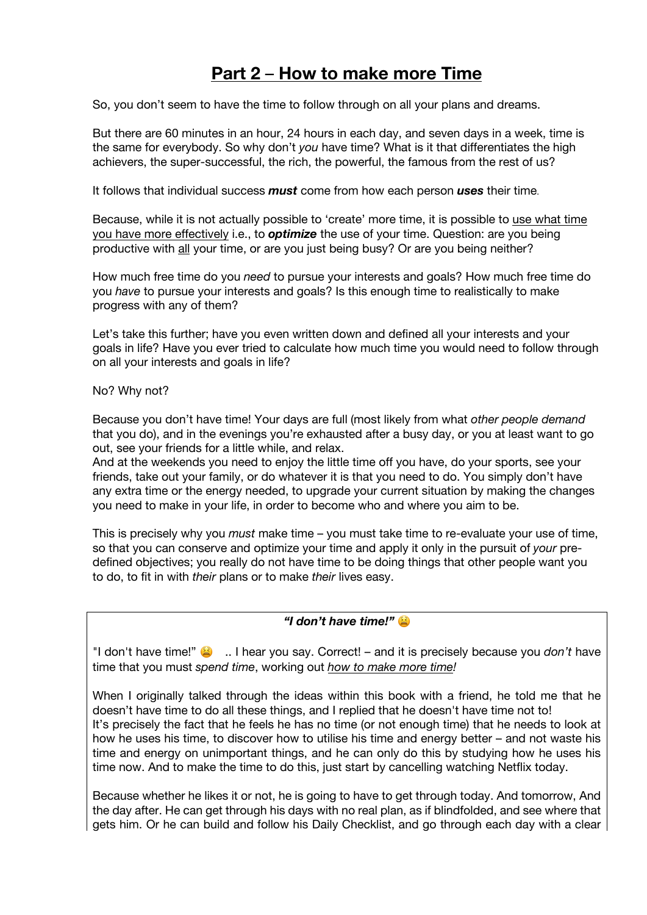# **Part 2** – **How to make more Time**

So, you don't seem to have the time to follow through on all your plans and dreams.

But there are 60 minutes in an hour, 24 hours in each day, and seven days in a week, time is the same for everybody. So why don't *you* have time? What is it that differentiates the high achievers, the super-successful, the rich, the powerful, the famous from the rest of us?

It follows that individual success *must* come from how each person *uses* their time.

Because, while it is not actually possible to 'create' more time, it is possible to use what time you have more effectively i.e., to *optimize* the use of your time. Question: are you being productive with all your time, or are you just being busy? Or are you being neither?

How much free time do you *need* to pursue your interests and goals? How much free time do you *have* to pursue your interests and goals? Is this enough time to realistically to make progress with any of them?

Let's take this further; have you even written down and defined all your interests and your goals in life? Have you ever tried to calculate how much time you would need to follow through on all your interests and goals in life?

No? Why not?

Because you don't have time! Your days are full (most likely from what *other people demand* that you do), and in the evenings you're exhausted after a busy day, or you at least want to go out, see your friends for a little while, and relax.

And at the weekends you need to enjoy the little time off you have, do your sports, see your friends, take out your family, or do whatever it is that you need to do. You simply don't have any extra time or the energy needed, to upgrade your current situation by making the changes you need to make in your life, in order to become who and where you aim to be.

This is precisely why you *must* make time – you must take time to re-evaluate your use of time, so that you can conserve and optimize your time and apply it only in the pursuit of *your* predefined objectives; you really do not have time to be doing things that other people want you to do, to fit in with *their* plans or to make *their* lives easy.

*"I don't have time!"*

"I don't have time!"  $\bullet$  ... I hear you say. Correct! – and it is precisely because you *don't* have time that you must *spend time*, working out *how to make more time!*

When I originally talked through the ideas within this book with a friend, he told me that he doesn't have time to do all these things, and I replied that he doesn't have time not to! It's precisely the fact that he feels he has no time (or not enough time) that he needs to look at how he uses his time, to discover how to utilise his time and energy better – and not waste his time and energy on unimportant things, and he can only do this by studying how he uses his time now. And to make the time to do this, just start by cancelling watching Netflix today.

Because whether he likes it or not, he is going to have to get through today. And tomorrow, And the day after. He can get through his days with no real plan, as if blindfolded, and see where that gets him. Or he can build and follow his Daily Checklist, and go through each day with a clear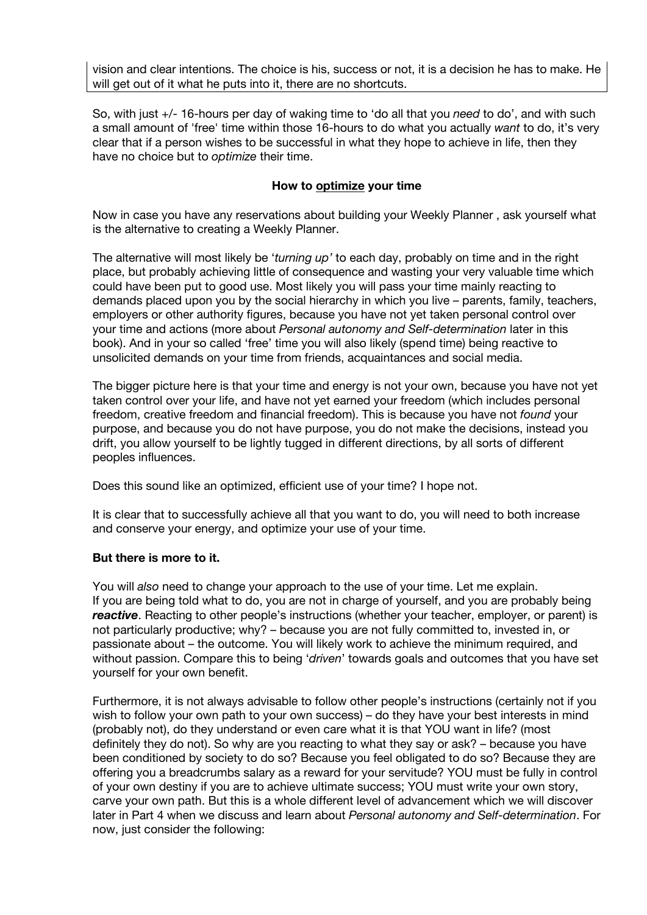vision and clear intentions. The choice is his, success or not, it is a decision he has to make. He will get out of it what he puts into it, there are no shortcuts.

So, with just +/- 16-hours per day of waking time to 'do all that you *need* to do', and with such a small amount of 'free' time within those 16-hours to do what you actually *want* to do, it's very clear that if a person wishes to be successful in what they hope to achieve in life, then they have no choice but to *optimize* their time.

### **How to optimize your time**

Now in case you have any reservations about building your Weekly Planner , ask yourself what is the alternative to creating a Weekly Planner.

The alternative will most likely be '*turning up'* to each day, probably on time and in the right place, but probably achieving little of consequence and wasting your very valuable time which could have been put to good use. Most likely you will pass your time mainly reacting to demands placed upon you by the social hierarchy in which you live – parents, family, teachers, employers or other authority figures, because you have not yet taken personal control over your time and actions (more about *Personal autonomy and Self-determination* later in this book). And in your so called 'free' time you will also likely (spend time) being reactive to unsolicited demands on your time from friends, acquaintances and social media.

The bigger picture here is that your time and energy is not your own, because you have not yet taken control over your life, and have not yet earned your freedom (which includes personal freedom, creative freedom and financial freedom). This is because you have not *found* your purpose, and because you do not have purpose, you do not make the decisions, instead you drift, you allow yourself to be lightly tugged in different directions, by all sorts of different peoples influences.

Does this sound like an optimized, efficient use of your time? I hope not.

It is clear that to successfully achieve all that you want to do, you will need to both increase and conserve your energy, and optimize your use of your time.

#### **But there is more to it.**

You will *also* need to change your approach to the use of your time. Let me explain. If you are being told what to do, you are not in charge of yourself, and you are probably being *reactive*. Reacting to other people's instructions (whether your teacher, employer, or parent) is not particularly productive; why? – because you are not fully committed to, invested in, or passionate about – the outcome. You will likely work to achieve the minimum required, and without passion. Compare this to being '*driven*' towards goals and outcomes that you have set yourself for your own benefit.

Furthermore, it is not always advisable to follow other people's instructions (certainly not if you wish to follow your own path to your own success) – do they have your best interests in mind (probably not), do they understand or even care what it is that YOU want in life? (most definitely they do not). So why are you reacting to what they say or ask? – because you have been conditioned by society to do so? Because you feel obligated to do so? Because they are offering you a breadcrumbs salary as a reward for your servitude? YOU must be fully in control of your own destiny if you are to achieve ultimate success; YOU must write your own story, carve your own path. But this is a whole different level of advancement which we will discover later in Part 4 when we discuss and learn about *Personal autonomy and Self-determination*. For now, just consider the following: